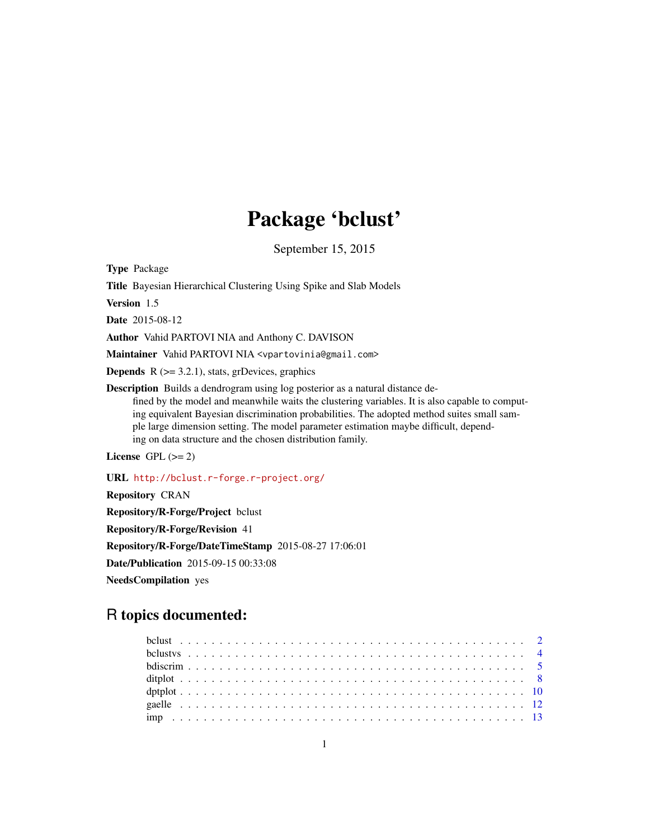# Package 'bclust'

September 15, 2015

Type Package

Title Bayesian Hierarchical Clustering Using Spike and Slab Models

Version 1.5

Date 2015-08-12

Author Vahid PARTOVI NIA and Anthony C. DAVISON

Maintainer Vahid PARTOVI NIA <vpartovinia@gmail.com>

**Depends**  $R$  ( $>= 3.2.1$ ), stats, grDevices, graphics

Description Builds a dendrogram using log posterior as a natural distance defined by the model and meanwhile waits the clustering variables. It is also capable to computing equivalent Bayesian discrimination probabilities. The adopted method suites small sample large dimension setting. The model parameter estimation maybe difficult, depending on data structure and the chosen distribution family.

License GPL  $(>= 2)$ 

URL <http://bclust.r-forge.r-project.org/>

Repository CRAN Repository/R-Forge/Project bclust Repository/R-Forge/Revision 41 Repository/R-Forge/DateTimeStamp 2015-08-27 17:06:01 Date/Publication 2015-09-15 00:33:08 NeedsCompilation yes

# R topics documented: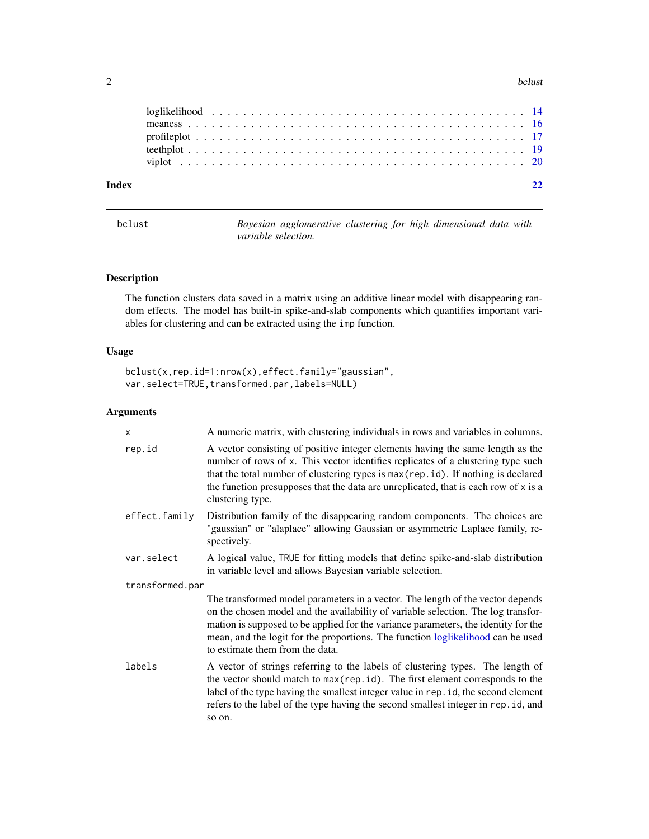#### $2$  bclust

| Index |  |  |  |  |  |  |  |  |  |  |  |  |  |  |  |  |  |  |  |  |
|-------|--|--|--|--|--|--|--|--|--|--|--|--|--|--|--|--|--|--|--|--|
|       |  |  |  |  |  |  |  |  |  |  |  |  |  |  |  |  |  |  |  |  |
|       |  |  |  |  |  |  |  |  |  |  |  |  |  |  |  |  |  |  |  |  |
|       |  |  |  |  |  |  |  |  |  |  |  |  |  |  |  |  |  |  |  |  |
|       |  |  |  |  |  |  |  |  |  |  |  |  |  |  |  |  |  |  |  |  |
|       |  |  |  |  |  |  |  |  |  |  |  |  |  |  |  |  |  |  |  |  |

<span id="page-1-1"></span>bclust *Bayesian agglomerative clustering for high dimensional data with variable selection.*

# Description

The function clusters data saved in a matrix using an additive linear model with disappearing random effects. The model has built-in spike-and-slab components which quantifies important variables for clustering and can be extracted using the imp function.

# Usage

```
bclust(x,rep.id=1:nrow(x),effect.family="gaussian",
var.select=TRUE, transformed.par, labels=NULL)
```

| X               | A numeric matrix, with clustering individuals in rows and variables in columns.                                                                                                                                                                                                                                                                                                 |
|-----------------|---------------------------------------------------------------------------------------------------------------------------------------------------------------------------------------------------------------------------------------------------------------------------------------------------------------------------------------------------------------------------------|
| rep.id          | A vector consisting of positive integer elements having the same length as the<br>number of rows of x. This vector identifies replicates of a clustering type such<br>that the total number of clustering types is max (rep. id). If nothing is declared<br>the function presupposes that the data are unreplicated, that is each row of x is a<br>clustering type.             |
| effect.family   | Distribution family of the disappearing random components. The choices are<br>"gaussian" or "alaplace" allowing Gaussian or asymmetric Laplace family, re-<br>spectively.                                                                                                                                                                                                       |
| var.select      | A logical value, TRUE for fitting models that define spike-and-slab distribution<br>in variable level and allows Bayesian variable selection.                                                                                                                                                                                                                                   |
| transformed.par |                                                                                                                                                                                                                                                                                                                                                                                 |
|                 | The transformed model parameters in a vector. The length of the vector depends<br>on the chosen model and the availability of variable selection. The log transfor-<br>mation is supposed to be applied for the variance parameters, the identity for the<br>mean, and the logit for the proportions. The function loglikelihood can be used<br>to estimate them from the data. |
| labels          | A vector of strings referring to the labels of clustering types. The length of<br>the vector should match to max (rep.id). The first element corresponds to the<br>label of the type having the smallest integer value in rep. id, the second element<br>refers to the label of the type having the second smallest integer in rep. id, and<br>so on.                           |

<span id="page-1-0"></span>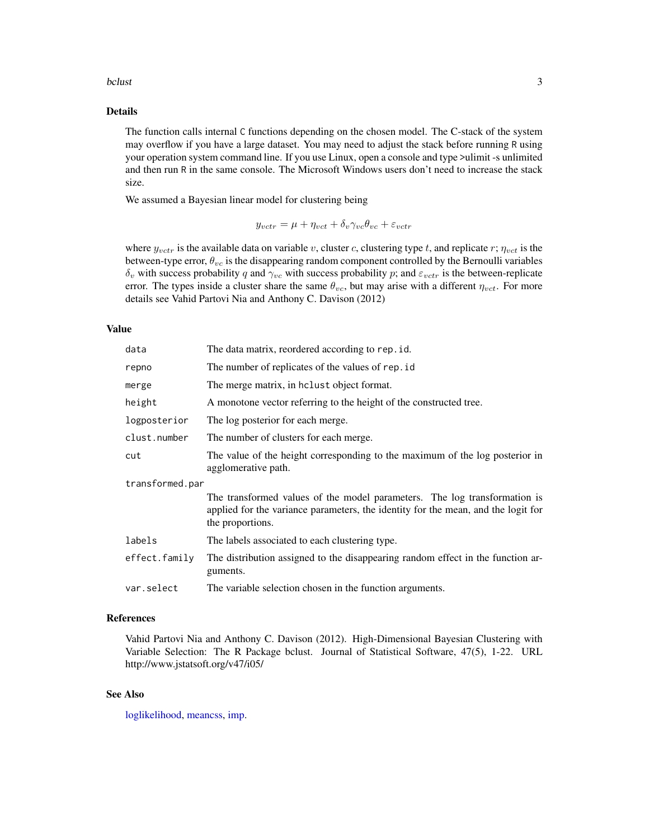#### <span id="page-2-0"></span>bclust 3 and 3 and 3 and 3 and 3 and 3 and 3 and 3 and 3 and 3 and 3 and 3 and 3 and 3 and 3 and 3 and 3 and 3 and 3 and 3 and 3 and 3 and 3 and 3 and 3 and 3 and 3 and 3 and 3 and 3 and 3 and 3 and 3 and 3 and 3 and 3 and

# Details

The function calls internal C functions depending on the chosen model. The C-stack of the system may overflow if you have a large dataset. You may need to adjust the stack before running R using your operation system command line. If you use Linux, open a console and type >ulimit -s unlimited and then run R in the same console. The Microsoft Windows users don't need to increase the stack size.

We assumed a Bayesian linear model for clustering being

$$
y_{vctr} = \mu + \eta_{vct} + \delta_v \gamma_{vc} \theta_{vc} + \varepsilon_{vctr}
$$

where  $y_{vctr}$  is the available data on variable v, cluster c, clustering type t, and replicate r;  $\eta_{vct}$  is the between-type error,  $\theta_{vc}$  is the disappearing random component controlled by the Bernoulli variables  $\delta_v$  with success probability q and  $\gamma_{vc}$  with success probability p; and  $\varepsilon_{vctr}$  is the between-replicate error. The types inside a cluster share the same  $\theta_{vc}$ , but may arise with a different  $\eta_{vct}$ . For more details see Vahid Partovi Nia and Anthony C. Davison (2012)

#### Value

| data            | The data matrix, reordered according to rep.id.                                                                                                                                    |
|-----------------|------------------------------------------------------------------------------------------------------------------------------------------------------------------------------------|
| repno           | The number of replicates of the values of rep. id                                                                                                                                  |
| merge           | The merge matrix, in holust object format.                                                                                                                                         |
| height          | A monotone vector referring to the height of the constructed tree.                                                                                                                 |
| logposterior    | The log posterior for each merge.                                                                                                                                                  |
| clust.number    | The number of clusters for each merge.                                                                                                                                             |
| cut             | The value of the height corresponding to the maximum of the log posterior in<br>agglomerative path.                                                                                |
| transformed.par |                                                                                                                                                                                    |
|                 | The transformed values of the model parameters. The log transformation is<br>applied for the variance parameters, the identity for the mean, and the logit for<br>the proportions. |
| labels          | The labels associated to each clustering type.                                                                                                                                     |
| effect.family   | The distribution assigned to the disappearing random effect in the function ar-<br>guments.                                                                                        |
| var.select      | The variable selection chosen in the function arguments.                                                                                                                           |
|                 |                                                                                                                                                                                    |

### References

Vahid Partovi Nia and Anthony C. Davison (2012). High-Dimensional Bayesian Clustering with Variable Selection: The R Package bclust. Journal of Statistical Software, 47(5), 1-22. URL http://www.jstatsoft.org/v47/i05/

# See Also

[loglikelihood,](#page-13-1) [meancss,](#page-15-1) [imp.](#page-12-1)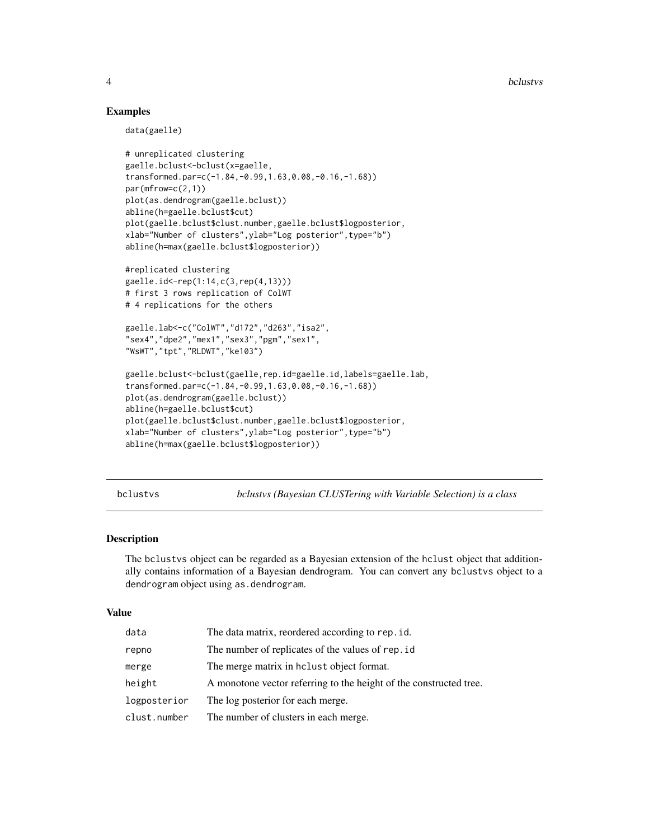# Examples

data(gaelle)

```
# unreplicated clustering
gaelle.bclust<-bclust(x=gaelle,
transformed.par=c(-1.84,-0.99,1.63,0.08,-0.16,-1.68))
par(mfrow=c(2,1))
plot(as.dendrogram(gaelle.bclust))
abline(h=gaelle.bclust$cut)
plot(gaelle.bclust$clust.number,gaelle.bclust$logposterior,
xlab="Number of clusters",ylab="Log posterior",type="b")
abline(h=max(gaelle.bclust$logposterior))
#replicated clustering
gaelle.id<-rep(1:14,c(3,rep(4,13)))
# first 3 rows replication of ColWT
# 4 replications for the others
gaelle.lab<-c("ColWT","d172","d263","isa2",
"sex4","dpe2","mex1","sex3","pgm","sex1",
"WsWT","tpt","RLDWT","ke103")
gaelle.bclust<-bclust(gaelle,rep.id=gaelle.id,labels=gaelle.lab,
transformed.par=c(-1.84,-0.99,1.63,0.08,-0.16,-1.68))
plot(as.dendrogram(gaelle.bclust))
abline(h=gaelle.bclust$cut)
plot(gaelle.bclust$clust.number,gaelle.bclust$logposterior,
xlab="Number of clusters",ylab="Log posterior",type="b")
abline(h=max(gaelle.bclust$logposterior))
```
bclustvs *bclustvs (Bayesian CLUSTering with Variable Selection) is a class*

### Description

The bclustvs object can be regarded as a Bayesian extension of the hclust object that additionally contains information of a Bayesian dendrogram. You can convert any bclustvs object to a dendrogram object using as.dendrogram.

#### Value

| data         | The data matrix, reordered according to rep.id.                    |
|--------------|--------------------------------------------------------------------|
| repno        | The number of replicates of the values of rep. id.                 |
| merge        | The merge matrix in holast object format.                          |
| height       | A monotone vector referring to the height of the constructed tree. |
| logposterior | The log posterior for each merge.                                  |
| clust.number | The number of clusters in each merge.                              |

<span id="page-3-0"></span>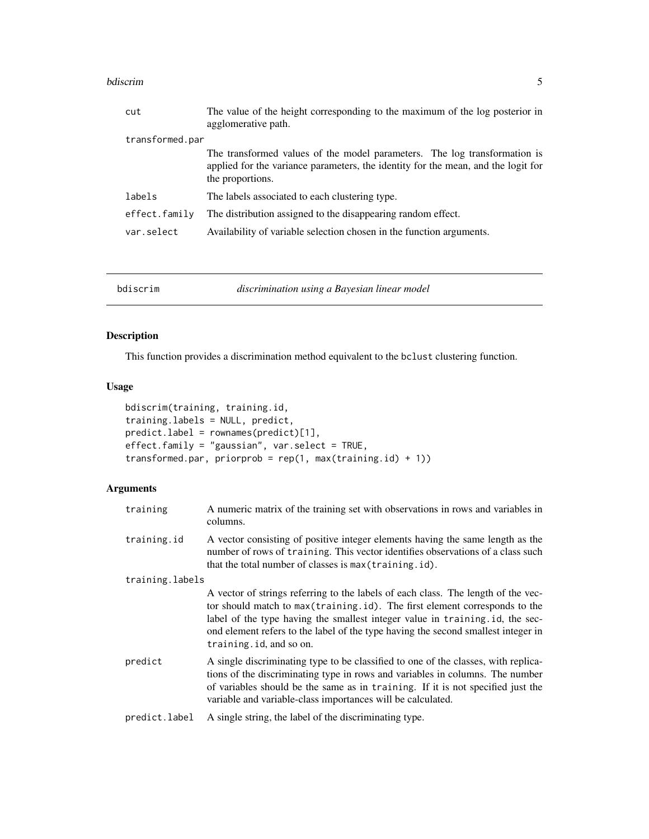#### <span id="page-4-0"></span>bdiscrim **5**

| cut             | The value of the height corresponding to the maximum of the log posterior in<br>agglomerative path.                                                                                |
|-----------------|------------------------------------------------------------------------------------------------------------------------------------------------------------------------------------|
| transformed.par |                                                                                                                                                                                    |
|                 | The transformed values of the model parameters. The log transformation is<br>applied for the variance parameters, the identity for the mean, and the logit for<br>the proportions. |
| labels          | The labels associated to each clustering type.                                                                                                                                     |
| effect.family   | The distribution assigned to the disappearing random effect.                                                                                                                       |
| var.select      | Availability of variable selection chosen in the function arguments.                                                                                                               |
|                 |                                                                                                                                                                                    |

<span id="page-4-1"></span>

| bdiscrim | discrimination using a Bayesian linear model |
|----------|----------------------------------------------|
|          |                                              |

# Description

This function provides a discrimination method equivalent to the bclust clustering function.

# Usage

```
bdiscrim(training, training.id,
training.labels = NULL, predict,
predict.label = rownames(predict)[1],
effect.family = "gaussian", var.select = TRUE,
transformed.par, priorprob = rep(1, max(training.id) + 1))
```

| training        | A numeric matrix of the training set with observations in rows and variables in<br>columns.                                                                                                                                                                                                                                                                      |  |  |  |  |  |
|-----------------|------------------------------------------------------------------------------------------------------------------------------------------------------------------------------------------------------------------------------------------------------------------------------------------------------------------------------------------------------------------|--|--|--|--|--|
| training.id     | A vector consisting of positive integer elements having the same length as the<br>number of rows of training. This vector identifies observations of a class such<br>that the total number of classes is max (training.id).                                                                                                                                      |  |  |  |  |  |
| training.labels |                                                                                                                                                                                                                                                                                                                                                                  |  |  |  |  |  |
|                 | A vector of strings referring to the labels of each class. The length of the vec-<br>tor should match to max (training id). The first element corresponds to the<br>label of the type having the smallest integer value in training id, the sec-<br>ond element refers to the label of the type having the second smallest integer in<br>training.id, and so on. |  |  |  |  |  |
| predict         | A single discriminating type to be classified to one of the classes, with replica-<br>tions of the discriminating type in rows and variables in columns. The number<br>of variables should be the same as in training. If it is not specified just the<br>variable and variable-class importances will be calculated.                                            |  |  |  |  |  |
| predict.label   | A single string, the label of the discriminating type.                                                                                                                                                                                                                                                                                                           |  |  |  |  |  |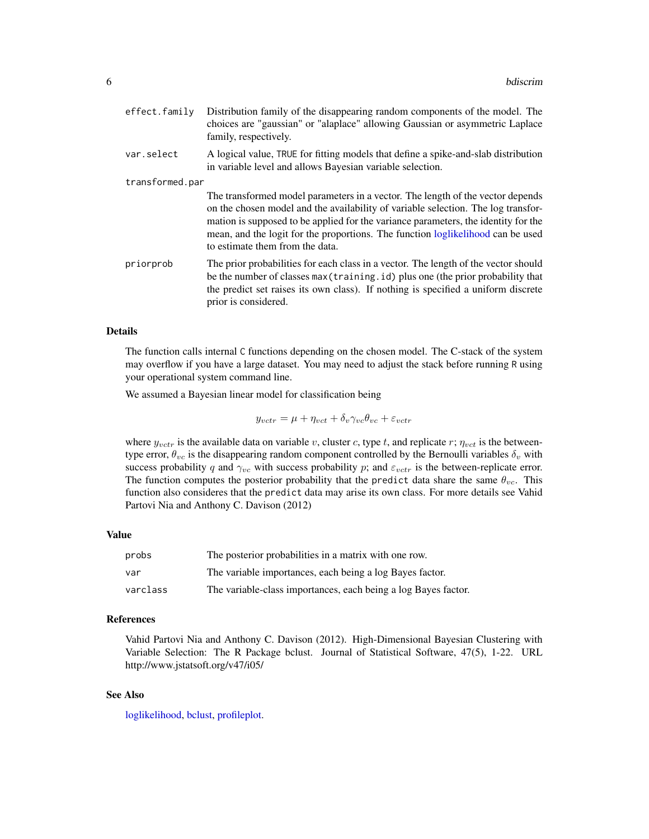<span id="page-5-0"></span>

| effect.family   | Distribution family of the disappearing random components of the model. The<br>choices are "gaussian" or "alaplace" allowing Gaussian or asymmetric Laplace<br>family, respectively.                                                                                                                                                                                            |
|-----------------|---------------------------------------------------------------------------------------------------------------------------------------------------------------------------------------------------------------------------------------------------------------------------------------------------------------------------------------------------------------------------------|
| var.select      | A logical value, TRUE for fitting models that define a spike-and-slab distribution<br>in variable level and allows Bayesian variable selection.                                                                                                                                                                                                                                 |
| transformed.par |                                                                                                                                                                                                                                                                                                                                                                                 |
|                 | The transformed model parameters in a vector. The length of the vector depends<br>on the chosen model and the availability of variable selection. The log transfor-<br>mation is supposed to be applied for the variance parameters, the identity for the<br>mean, and the logit for the proportions. The function loglikelihood can be used<br>to estimate them from the data. |
| priorprob       | The prior probabilities for each class in a vector. The length of the vector should<br>be the number of classes max (training id) plus one (the prior probability that<br>the predict set raises its own class). If nothing is specified a uniform discrete<br>prior is considered.                                                                                             |

# Details

The function calls internal C functions depending on the chosen model. The C-stack of the system may overflow if you have a large dataset. You may need to adjust the stack before running R using your operational system command line.

We assumed a Bayesian linear model for classification being

$$
y_{vctr} = \mu + \eta_{vct} + \delta_v \gamma_{vc} \theta_{vc} + \varepsilon_{vctr}
$$

where  $y_{vctr}$  is the available data on variable v, cluster c, type t, and replicate r;  $\eta_{vct}$  is the betweentype error,  $\theta_{vc}$  is the disappearing random component controlled by the Bernoulli variables  $\delta_v$  with success probability q and  $\gamma_{vc}$  with success probability p; and  $\varepsilon_{vctr}$  is the between-replicate error. The function computes the posterior probability that the predict data share the same  $\theta_{vc}$ . This function also consideres that the predict data may arise its own class. For more details see Vahid Partovi Nia and Anthony C. Davison (2012)

#### Value

| probs    | The posterior probabilities in a matrix with one row.          |
|----------|----------------------------------------------------------------|
| var      | The variable importances, each being a log Bayes factor.       |
| varclass | The variable-class importances, each being a log Bayes factor. |

#### References

Vahid Partovi Nia and Anthony C. Davison (2012). High-Dimensional Bayesian Clustering with Variable Selection: The R Package bclust. Journal of Statistical Software, 47(5), 1-22. URL http://www.jstatsoft.org/v47/i05/

# See Also

[loglikelihood,](#page-13-1) [bclust,](#page-1-1) [profileplot.](#page-16-1)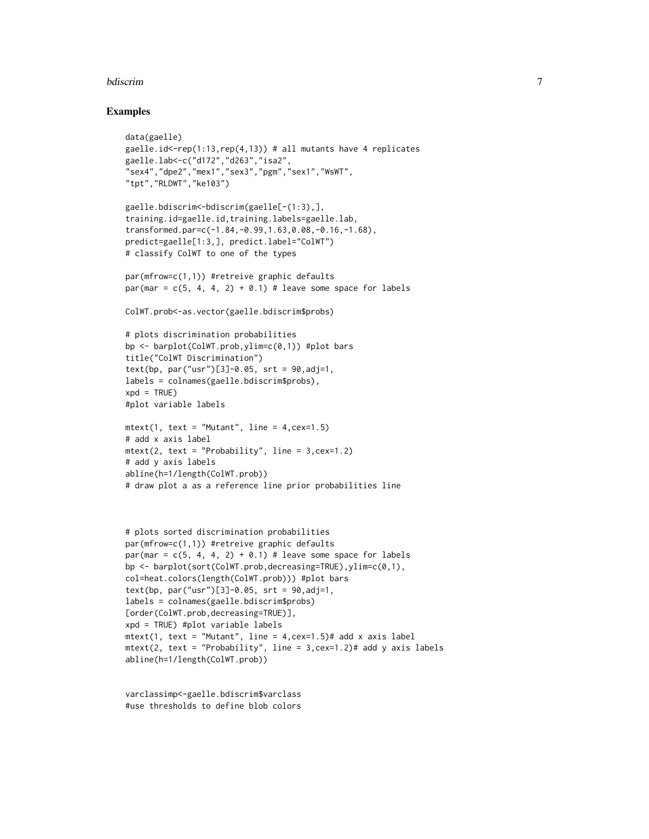#### bdiscrim **7**

#### Examples

```
data(gaelle)
gaelle.id<-rep(1:13,rep(4,13)) # all mutants have 4 replicates
gaelle.lab<-c("d172","d263","isa2",
"sex4","dpe2","mex1","sex3","pgm","sex1","WsWT",
"tpt","RLDWT","ke103")
```

```
gaelle.bdiscrim<-bdiscrim(gaelle[-(1:3),],
training.id=gaelle.id,training.labels=gaelle.lab,
transformed.par=c(-1.84,-0.99,1.63,0.08,-0.16,-1.68),
predict=gaelle[1:3,], predict.label="ColWT")
# classify ColWT to one of the types
```

```
par(mfrow=c(1,1)) #retreive graphic defaults
par(mar = c(5, 4, 4, 2) + 0.1) # leave some space for labels
```

```
ColWT.prob<-as.vector(gaelle.bdiscrim$probs)
```

```
# plots discrimination probabilities
bp \le barplot(ColWT.prob, ylim=c(0,1)) #plot bars
title("ColWT Discrimination")
text(bp, par("usr")[3]-0.05, srt = 90,adj=1,
labels = colnames(gaelle.bdiscrim$probs),
xpd = TRUE)
#plot variable labels
```

```
mtext{text}(1, text = "Mutant", line = 4, cex=1.5)# add x axis label
mtext{text}(2, text = "Probability", line = 3, cex=1.2)# add y axis labels
abline(h=1/length(ColWT.prob))
# draw plot a as a reference line prior probabilities line
```

```
# plots sorted discrimination probabilities
par(mfrow=c(1,1)) #retreive graphic defaults
par(mar = c(5, 4, 4, 2) + 0.1) # leave some space for labels
bp <- barplot(sort(ColWT.prob,decreasing=TRUE),ylim=c(0,1),
col=heat.colors(length(ColWT.prob))) #plot bars
text(bp, par("usr")[3]-0.05, srt = 90, adj=1,
labels = colnames(gaelle.bdiscrim$probs)
[order(ColWT.prob,decreasing=TRUE)],
xpd = TRUE) #plot variable labels
mtext{text}(1, text = "Mutant", line = 4, cex=1.5)# add x axis label
mtext{text}(2, text = "Probability", line = 3, cex=1.2)# add y axis labels
abline(h=1/length(ColWT.prob))
```

```
varclassimp<-gaelle.bdiscrim$varclass
#use thresholds to define blob colors
```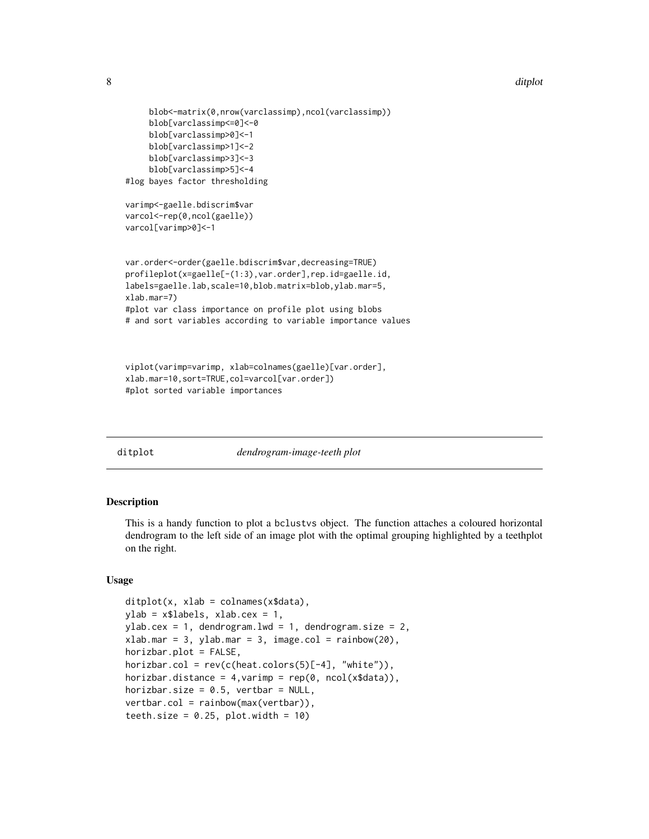```
blob<-matrix(0,nrow(varclassimp),ncol(varclassimp))
     blob[varclassimp<=0]<-0
     blob[varclassimp>0]<-1
     blob[varclassimp>1]<-2
     blob[varclassimp>3]<-3
     blob[varclassimp>5]<-4
#log bayes factor thresholding
varimp<-gaelle.bdiscrim$var
varcol<-rep(0,ncol(gaelle))
varcol[varimp>0]<-1
var.order<-order(gaelle.bdiscrim$var,decreasing=TRUE)
profileplot(x=gaelle[-(1:3),var.order],rep.id=gaelle.id,
labels=gaelle.lab,scale=10,blob.matrix=blob,ylab.mar=5,
xlab.mar=7)
#plot var class importance on profile plot using blobs
# and sort variables according to variable importance values
```

```
viplot(varimp=varimp, xlab=colnames(gaelle)[var.order],
xlab.mar=10,sort=TRUE,col=varcol[var.order])
#plot sorted variable importances
```
<span id="page-7-1"></span>

ditplot *dendrogram-image-teeth plot*

#### **Description**

This is a handy function to plot a bclustvs object. The function attaches a coloured horizontal dendrogram to the left side of an image plot with the optimal grouping highlighted by a teethplot on the right.

#### Usage

```
diptot(x, xlab = colnames(x$data),
ylab = x$labels, xlab.cex = 1,
ylab.cex = 1, dendrogram.lwd = 1, dendrogram.size = 2,
xlab.max = 3, ylab.max = 3, image,col = rainbow(20),
horizbar.plot = FALSE,
horizbar.col = rev(c(heat.colors(5)[-4], "white")),
horizbar.distance = 4, varimp = rep(0, ncol(x$data)),horizbar.size = 0.5, vertbar = NULL,
vertbar.col = rainbow(max(vertbar)),
teeth.size = 0.25, plot.width = 10)
```
<span id="page-7-0"></span>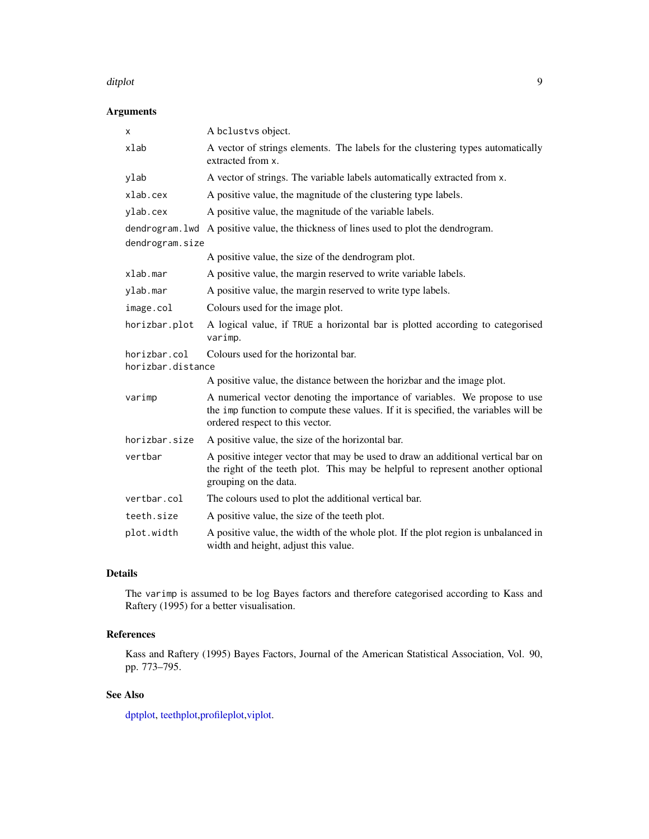#### <span id="page-8-0"></span>ditplot that the control of the control of the control of the control of the control of the control of the control of the control of the control of the control of the control of the control of the control of the control of

# Arguments

| х                                 | A bclustvs object.                                                                                                                                                                                   |
|-----------------------------------|------------------------------------------------------------------------------------------------------------------------------------------------------------------------------------------------------|
| xlab                              | A vector of strings elements. The labels for the clustering types automatically<br>extracted from x.                                                                                                 |
| ylab                              | A vector of strings. The variable labels automatically extracted from x.                                                                                                                             |
| xlab.cex                          | A positive value, the magnitude of the clustering type labels.                                                                                                                                       |
| ylab.cex                          | A positive value, the magnitude of the variable labels.                                                                                                                                              |
| dendrogram.lwd<br>dendrogram.size | A positive value, the thickness of lines used to plot the dendrogram.                                                                                                                                |
|                                   | A positive value, the size of the dendrogram plot.                                                                                                                                                   |
| xlab.mar                          | A positive value, the margin reserved to write variable labels.                                                                                                                                      |
| ylab.mar                          | A positive value, the margin reserved to write type labels.                                                                                                                                          |
| image.col                         | Colours used for the image plot.                                                                                                                                                                     |
| horizbar.plot                     | A logical value, if TRUE a horizontal bar is plotted according to categorised<br>varimp.                                                                                                             |
| horizbar.col<br>horizbar.distance | Colours used for the horizontal bar.                                                                                                                                                                 |
|                                   | A positive value, the distance between the horizbar and the image plot.                                                                                                                              |
| varimp                            | A numerical vector denoting the importance of variables. We propose to use<br>the imp function to compute these values. If it is specified, the variables will be<br>ordered respect to this vector. |
| horizbar.size                     | A positive value, the size of the horizontal bar.                                                                                                                                                    |
| vertbar                           | A positive integer vector that may be used to draw an additional vertical bar on<br>the right of the teeth plot. This may be helpful to represent another optional<br>grouping on the data.          |
| vertbar.col                       | The colours used to plot the additional vertical bar.                                                                                                                                                |
| teeth.size                        | A positive value, the size of the teeth plot.                                                                                                                                                        |
| plot.width                        | A positive value, the width of the whole plot. If the plot region is unbalanced in<br>width and height, adjust this value.                                                                           |

# Details

The varimp is assumed to be log Bayes factors and therefore categorised according to Kass and Raftery (1995) for a better visualisation.

# References

Kass and Raftery (1995) Bayes Factors, Journal of the American Statistical Association, Vol. 90, pp. 773–795.

# See Also

[dptplot,](#page-9-1) [teethplot](#page-18-1)[,profileplot](#page-16-1)[,viplot.](#page-19-1)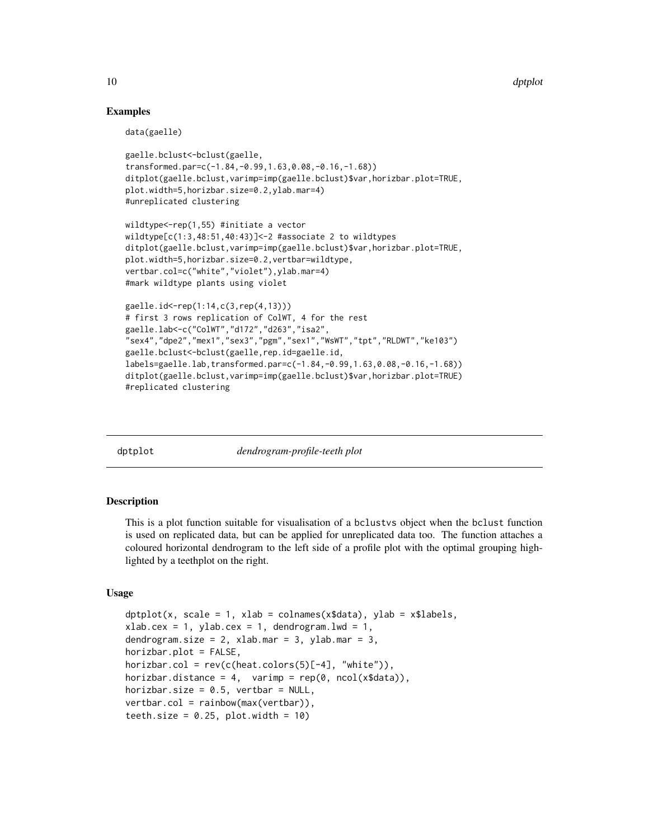# Examples

data(gaelle)

```
gaelle.bclust<-bclust(gaelle,
transformed.par=c(-1.84,-0.99,1.63,0.08,-0.16,-1.68))
ditplot(gaelle.bclust,varimp=imp(gaelle.bclust)$var,horizbar.plot=TRUE,
plot.width=5,horizbar.size=0.2,ylab.mar=4)
#unreplicated clustering
```

```
wildtype<-rep(1,55) #initiate a vector
wildtype[c(1:3,48:51,40:43)]<-2 #associate 2 to wildtypes
ditplot(gaelle.bclust,varimp=imp(gaelle.bclust)$var,horizbar.plot=TRUE,
plot.width=5,horizbar.size=0.2,vertbar=wildtype,
vertbar.col=c("white","violet"),ylab.mar=4)
#mark wildtype plants using violet
```

```
gaelle.id<-rep(1:14,c(3,rep(4,13)))
# first 3 rows replication of ColWT, 4 for the rest
gaelle.lab<-c("ColWT","d172","d263","isa2",
"sex4","dpe2","mex1","sex3","pgm","sex1","WsWT","tpt","RLDWT","ke103")
gaelle.bclust<-bclust(gaelle,rep.id=gaelle.id,
labels=gaelle.lab,transformed.par=c(-1.84,-0.99,1.63,0.08,-0.16,-1.68))
ditplot(gaelle.bclust,varimp=imp(gaelle.bclust)$var,horizbar.plot=TRUE)
#replicated clustering
```
<span id="page-9-1"></span>

dptplot *dendrogram-profile-teeth plot*

# Description

This is a plot function suitable for visualisation of a bclustvs object when the bclust function is used on replicated data, but can be applied for unreplicated data too. The function attaches a coloured horizontal dendrogram to the left side of a profile plot with the optimal grouping highlighted by a teethplot on the right.

### Usage

```
dptplot(x, scale = 1, xlab = colnames(x$data), ylab = x$labels,xlab.cex = 1, ylab.cex = 1, dendrogram.lwd = 1,
dendrogram.size = 2, xlab.mar = 3, ylab.mar = 3,
horizbar.plot = FALSE,
horizbar.col = rev(c(heat.colors(5)[-4], "white")),
horizbar.distance = 4, varimp = rep(0, ncol(x$data)),horizbar.size = 0.5, vertbar = NULL,
vertbar.col = rainbow(max(vertbar)),teeth.size = 0.25, plot.width = 10)
```
<span id="page-9-0"></span>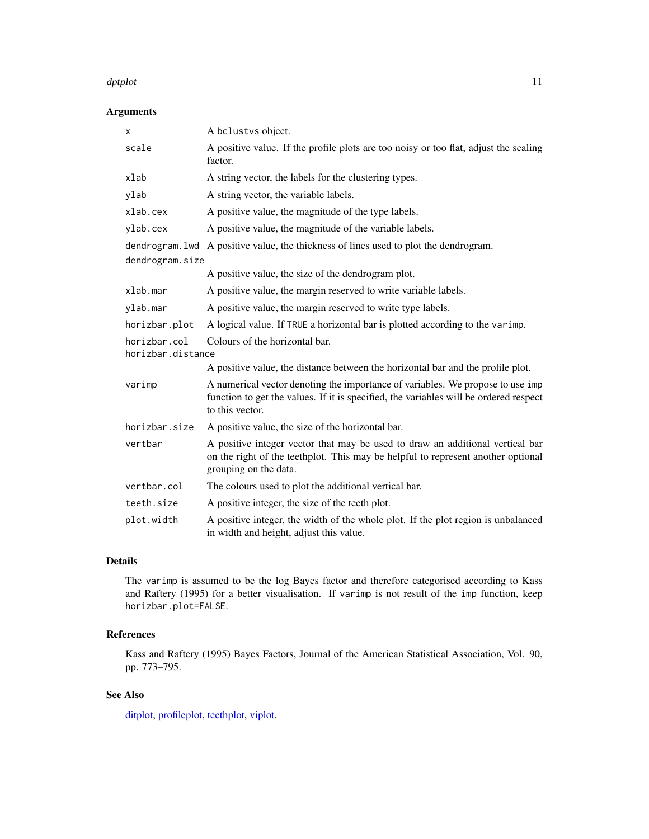#### <span id="page-10-0"></span>dptplot that the contract of the contract of the contract of the contract of the contract of the contract of the contract of the contract of the contract of the contract of the contract of the contract of the contract of t

# Arguments

| X                 | A bclustvs object.                                                                                                                                                                         |
|-------------------|--------------------------------------------------------------------------------------------------------------------------------------------------------------------------------------------|
| scale             | A positive value. If the profile plots are too noisy or too flat, adjust the scaling<br>factor.                                                                                            |
| xlab              | A string vector, the labels for the clustering types.                                                                                                                                      |
| ylab              | A string vector, the variable labels.                                                                                                                                                      |
| xlab.cex          | A positive value, the magnitude of the type labels.                                                                                                                                        |
| ylab.cex          | A positive value, the magnitude of the variable labels.                                                                                                                                    |
| dendrogram.lwd    | A positive value, the thickness of lines used to plot the dendrogram.                                                                                                                      |
| dendrogram.size   |                                                                                                                                                                                            |
|                   | A positive value, the size of the dendrogram plot.                                                                                                                                         |
| xlab.mar          | A positive value, the margin reserved to write variable labels.                                                                                                                            |
| ylab.mar          | A positive value, the margin reserved to write type labels.                                                                                                                                |
| horizbar.plot     | A logical value. If TRUE a horizontal bar is plotted according to the varimp.                                                                                                              |
| horizbar.col      | Colours of the horizontal bar.                                                                                                                                                             |
| horizbar.distance |                                                                                                                                                                                            |
|                   | A positive value, the distance between the horizontal bar and the profile plot.                                                                                                            |
| varimp            | A numerical vector denoting the importance of variables. We propose to use imp<br>function to get the values. If it is specified, the variables will be ordered respect<br>to this vector. |
| horizbar.size     | A positive value, the size of the horizontal bar.                                                                                                                                          |
| vertbar           | A positive integer vector that may be used to draw an additional vertical bar<br>on the right of the teethplot. This may be helpful to represent another optional<br>grouping on the data. |
| vertbar.col       | The colours used to plot the additional vertical bar.                                                                                                                                      |
| teeth.size        | A positive integer, the size of the teeth plot.                                                                                                                                            |
| plot.width        | A positive integer, the width of the whole plot. If the plot region is unbalanced<br>in width and height, adjust this value.                                                               |

# Details

The varimp is assumed to be the log Bayes factor and therefore categorised according to Kass and Raftery (1995) for a better visualisation. If varimp is not result of the imp function, keep horizbar.plot=FALSE.

# References

Kass and Raftery (1995) Bayes Factors, Journal of the American Statistical Association, Vol. 90, pp. 773–795.

# See Also

[ditplot,](#page-7-1) [profileplot,](#page-16-1) [teethplot,](#page-18-1) [viplot.](#page-19-1)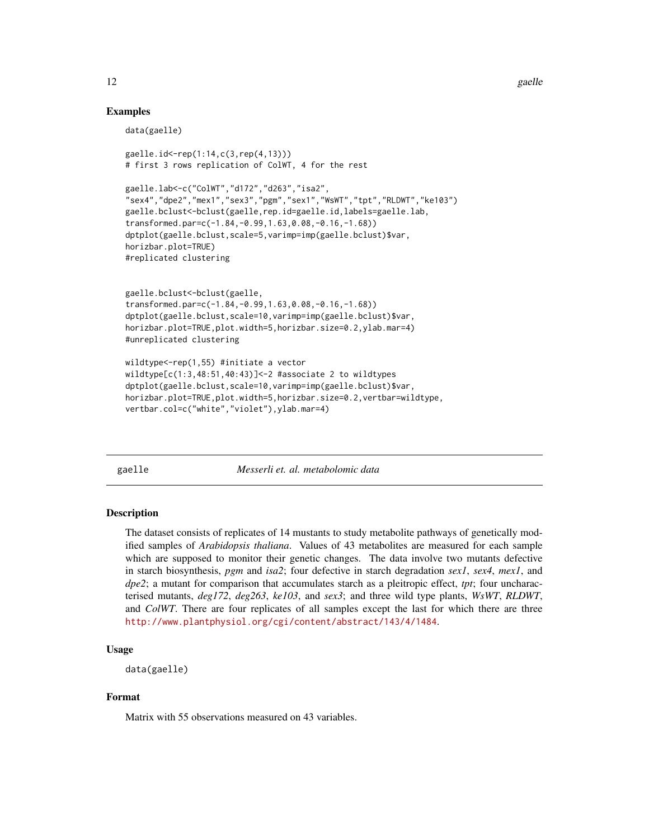### <span id="page-11-0"></span>Examples

```
data(gaelle)
```

```
gaelle.id<-rep(1:14,c(3,rep(4,13)))
# first 3 rows replication of ColWT, 4 for the rest
gaelle.lab<-c("ColWT","d172","d263","isa2",
"sex4","dpe2","mex1","sex3","pgm","sex1","WsWT","tpt","RLDWT","ke103")
gaelle.bclust<-bclust(gaelle,rep.id=gaelle.id,labels=gaelle.lab,
transformed.par=c(-1.84,-0.99,1.63,0.08,-0.16,-1.68))
dptplot(gaelle.bclust,scale=5,varimp=imp(gaelle.bclust)$var,
horizbar.plot=TRUE)
#replicated clustering
gaelle.bclust<-bclust(gaelle,
transformed.par=c(-1.84,-0.99,1.63,0.08,-0.16,-1.68))
dptplot(gaelle.bclust,scale=10,varimp=imp(gaelle.bclust)$var,
horizbar.plot=TRUE,plot.width=5,horizbar.size=0.2,ylab.mar=4)
#unreplicated clustering
wildtype<-rep(1,55) #initiate a vector
wildtype[c(1:3,48:51,40:43)]<-2 #associate 2 to wildtypes
dptplot(gaelle.bclust,scale=10,varimp=imp(gaelle.bclust)$var,
```

```
horizbar.plot=TRUE,plot.width=5,horizbar.size=0.2,vertbar=wildtype,
vertbar.col=c("white","violet"),ylab.mar=4)
```
gaelle *Messerli et. al. metabolomic data*

### **Description**

The dataset consists of replicates of 14 mustants to study metabolite pathways of genetically modified samples of *Arabidopsis thaliana*. Values of 43 metabolites are measured for each sample which are supposed to monitor their genetic changes. The data involve two mutants defective in starch biosynthesis, *pgm* and *isa2*; four defective in starch degradation *sex1*, *sex4*, *mex1*, and *dpe2*; a mutant for comparison that accumulates starch as a pleitropic effect, *tpt*; four uncharacterised mutants, *deg172*, *deg263*, *ke103*, and *sex3*; and three wild type plants, *WsWT*, *RLDWT*, and *ColWT*. There are four replicates of all samples except the last for which there are three <http://www.plantphysiol.org/cgi/content/abstract/143/4/1484>.

# Usage

```
data(gaelle)
```
#### Format

Matrix with 55 observations measured on 43 variables.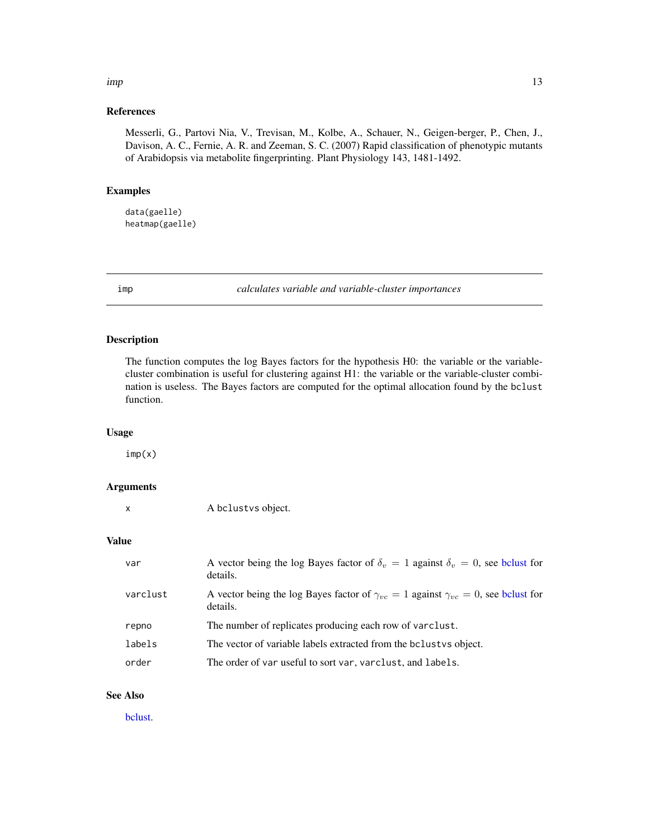#### <span id="page-12-0"></span> $imp$  13

# References

Messerli, G., Partovi Nia, V., Trevisan, M., Kolbe, A., Schauer, N., Geigen-berger, P., Chen, J., Davison, A. C., Fernie, A. R. and Zeeman, S. C. (2007) Rapid classification of phenotypic mutants of Arabidopsis via metabolite fingerprinting. Plant Physiology 143, 1481-1492.

# Examples

data(gaelle) heatmap(gaelle)

<span id="page-12-1"></span>imp *calculates variable and variable-cluster importances*

#### Description

The function computes the log Bayes factors for the hypothesis H0: the variable or the variablecluster combination is useful for clustering against H1: the variable or the variable-cluster combination is useless. The Bayes factors are computed for the optimal allocation found by the bclust function.

#### Usage

 $imp(x)$ 

#### Arguments

x A bclustvs object.

# Value

| var      | A vector being the log Bayes factor of $\delta_n = 1$ against $\delta_n = 0$ , see belust for<br>details.       |
|----------|-----------------------------------------------------------------------------------------------------------------|
| varclust | A vector being the log Bayes factor of $\gamma_{vc} = 1$ against $\gamma_{vc} = 0$ , see belust for<br>details. |
| repno    | The number of replicates producing each row of varclust.                                                        |
| labels   | The vector of variable labels extracted from the bolusty sobject.                                               |
| order    | The order of var useful to sort var, varclust, and labels.                                                      |

# See Also

[bclust.](#page-1-1)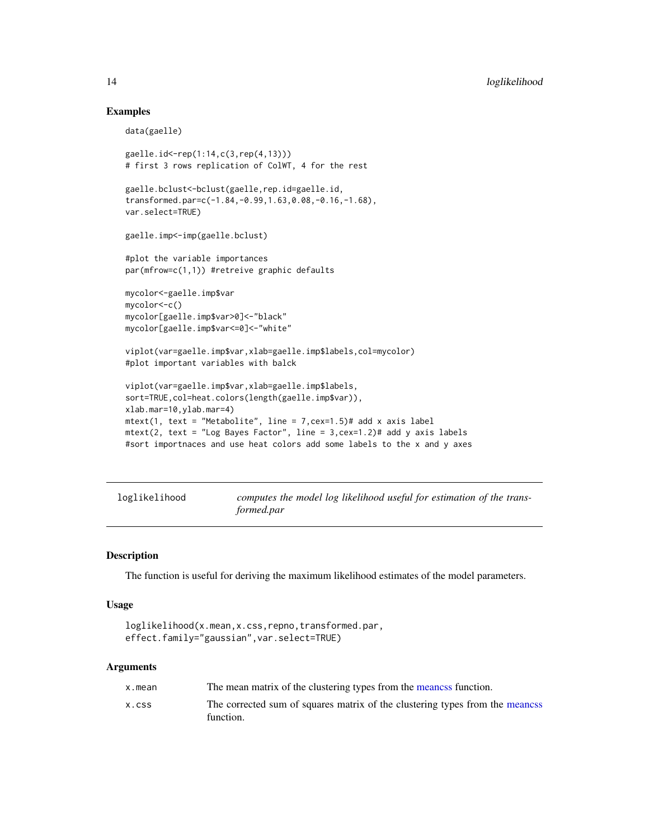#### Examples

```
data(gaelle)
gaelle.id<-rep(1:14,c(3,rep(4,13)))
# first 3 rows replication of ColWT, 4 for the rest
gaelle.bclust<-bclust(gaelle,rep.id=gaelle.id,
transformed.par=c(-1.84,-0.99,1.63,0.08,-0.16,-1.68),
var.select=TRUE)
gaelle.imp<-imp(gaelle.bclust)
#plot the variable importances
par(mfrow=c(1,1)) #retreive graphic defaults
mycolor<-gaelle.imp$var
mycolor<-c()
mycolor[gaelle.imp$var>0]<-"black"
mycolor[gaelle.imp$var<=0]<-"white"
viplot(var=gaelle.imp$var,xlab=gaelle.imp$labels,col=mycolor)
#plot important variables with balck
viplot(var=gaelle.imp$var,xlab=gaelle.imp$labels,
sort=TRUE,col=heat.colors(length(gaelle.imp$var)),
xlab.mar=10,ylab.mar=4)
mtext{text}(1, text = "Methodlite", line = 7, cex=1.5)# add x axis label
mtext{text}(2, text = "Log Bayes Factor", line = 3, cex=1.2) # add y axis labels#sort importnaces and use heat colors add some labels to the x and y axes
```
<span id="page-13-1"></span>loglikelihood *computes the model log likelihood useful for estimation of the transformed.par*

#### **Description**

The function is useful for deriving the maximum likelihood estimates of the model parameters.

#### Usage

```
loglikelihood(x.mean,x.css,repno,transformed.par,
effect.family="gaussian",var.select=TRUE)
```

| x.mean | The mean matrix of the clustering types from the meaness function.                        |
|--------|-------------------------------------------------------------------------------------------|
| X.CSS  | The corrected sum of squares matrix of the clustering types from the meaness<br>function. |

<span id="page-13-0"></span>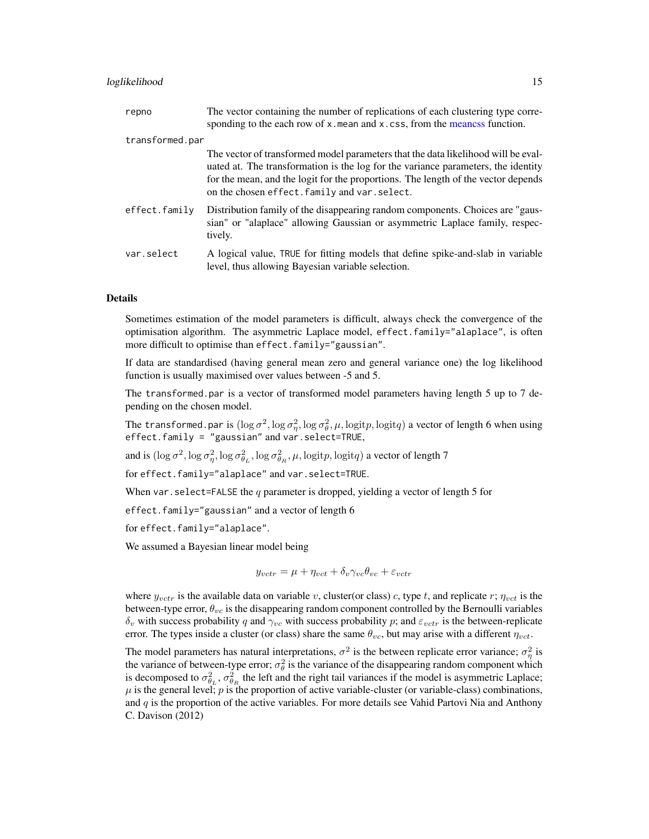#### loglikelihood 15

| repno           | The vector containing the number of replications of each clustering type corre-<br>sponding to the each row of x mean and x css, from the meaness function.                                                                                                                                                  |
|-----------------|--------------------------------------------------------------------------------------------------------------------------------------------------------------------------------------------------------------------------------------------------------------------------------------------------------------|
| transformed.par |                                                                                                                                                                                                                                                                                                              |
|                 | The vector of transformed model parameters that the data likelihood will be eval-<br>uated at. The transformation is the log for the variance parameters, the identity<br>for the mean, and the logit for the proportions. The length of the vector depends<br>on the chosen effect. family and var. select. |
| effect.family   | Distribution family of the disappearing random components. Choices are "gaus-<br>sian" or "alaplace" allowing Gaussian or asymmetric Laplace family, respec-<br>tively.                                                                                                                                      |
| var.select      | A logical value, TRUE for fitting models that define spike-and-slab in variable<br>level, thus allowing Bayesian variable selection.                                                                                                                                                                         |

#### Details

Sometimes estimation of the model parameters is difficult, always check the convergence of the optimisation algorithm. The asymmetric Laplace model, effect.family="alaplace", is often more difficult to optimise than effect.family="gaussian".

If data are standardised (having general mean zero and general variance one) the log likelihood function is usually maximised over values between -5 and 5.

The transformed.par is a vector of transformed model parameters having length 5 up to 7 depending on the chosen model.

The transformed.par is  $(\log \sigma^2, \log \sigma_\eta^2, \log \sigma_\theta^2, \mu, \log \text{it} p, \log \text{it} q)$  a vector of length 6 when using effect.family = "gaussian" and var.select=TRUE,

and is  $(\log \sigma^2, \log \sigma^2_{\eta}, \log \sigma^2_{\theta_L}, \log \sigma^2_{\theta_R}, \mu, \log \{ t} \}$  a vector of length 7

for effect.family="alaplace" and var.select=TRUE.

When var. select=FALSE the  $q$  parameter is dropped, yielding a vector of length 5 for

effect.family="gaussian" and a vector of length 6

for effect.family="alaplace".

We assumed a Bayesian linear model being

$$
y_{vctr} = \mu + \eta_{vct} + \delta_v \gamma_{vc} \theta_{vc} + \varepsilon_{vctr}
$$

where  $y_{vctr}$  is the available data on variable v, cluster(or class) c, type t, and replicate r;  $\eta_{vct}$  is the between-type error,  $\theta_{vc}$  is the disappearing random component controlled by the Bernoulli variables  $\delta_v$  with success probability q and  $\gamma_{vc}$  with success probability p; and  $\varepsilon_{vctr}$  is the between-replicate error. The types inside a cluster (or class) share the same  $\theta_{vc}$ , but may arise with a different  $\eta_{vct}$ .

The model parameters has natural interpretations,  $\sigma^2$  is the between replicate error variance;  $\sigma_\eta^2$  is the variance of between-type error;  $\sigma_{\theta}^2$  is the variance of the disappearing random component which is decomposed to  $\sigma_{\theta_L}^2$ ,  $\sigma_{\theta_R}^2$  the left and the right tail variances if the model is asymmetric Laplace;  $\mu$  is the general level; p is the proportion of active variable-cluster (or variable-class) combinations, and q is the proportion of the active variables. For more details see Vahid Partovi Nia and Anthony C. Davison (2012)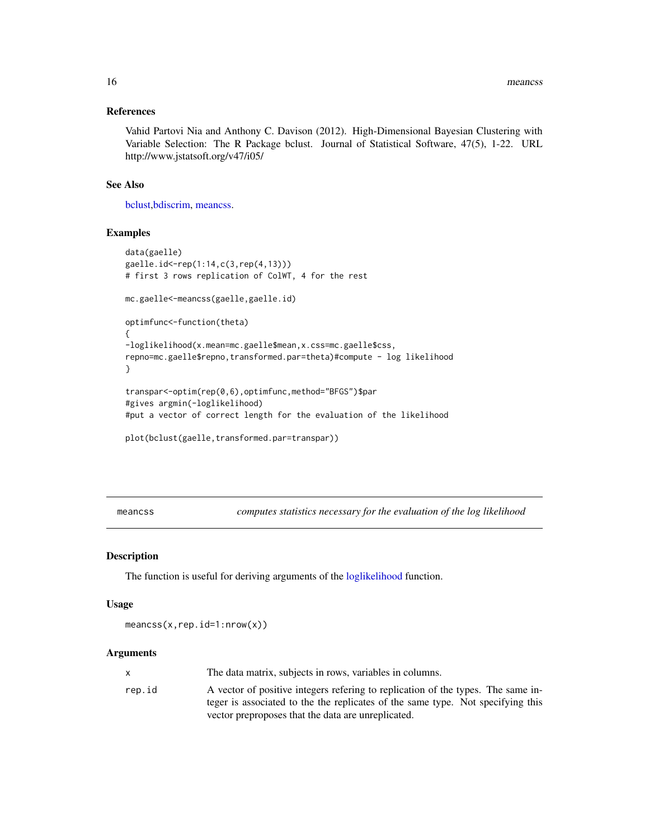#### <span id="page-15-0"></span>References

Vahid Partovi Nia and Anthony C. Davison (2012). High-Dimensional Bayesian Clustering with Variable Selection: The R Package bclust. Journal of Statistical Software, 47(5), 1-22. URL http://www.jstatsoft.org/v47/i05/

#### See Also

[bclust,](#page-1-1)[bdiscrim,](#page-4-1) [meancss.](#page-15-1)

# Examples

```
data(gaelle)
gaelle.id<-rep(1:14,c(3,rep(4,13)))
# first 3 rows replication of ColWT, 4 for the rest
mc.gaelle<-meancss(gaelle,gaelle.id)
optimfunc<-function(theta)
{
-loglikelihood(x.mean=mc.gaelle$mean,x.css=mc.gaelle$css,
repno=mc.gaelle$repno,transformed.par=theta)#compute - log likelihood
}
transpar<-optim(rep(0,6),optimfunc,method="BFGS")$par
#gives argmin(-loglikelihood)
#put a vector of correct length for the evaluation of the likelihood
plot(bclust(gaelle,transformed.par=transpar))
```
<span id="page-15-1"></span>meancss *computes statistics necessary for the evaluation of the log likelihood*

#### Description

The function is useful for deriving arguments of the [loglikelihood](#page-13-1) function.

#### Usage

meancss(x,rep.id=1:nrow(x))

|        | The data matrix, subjects in rows, variables in columns.                                                                                                            |
|--------|---------------------------------------------------------------------------------------------------------------------------------------------------------------------|
| rep.id | A vector of positive integers refering to replication of the types. The same in-<br>teger is associated to the the replicates of the same type. Not specifying this |
|        | vector preproposes that the data are unreplicated.                                                                                                                  |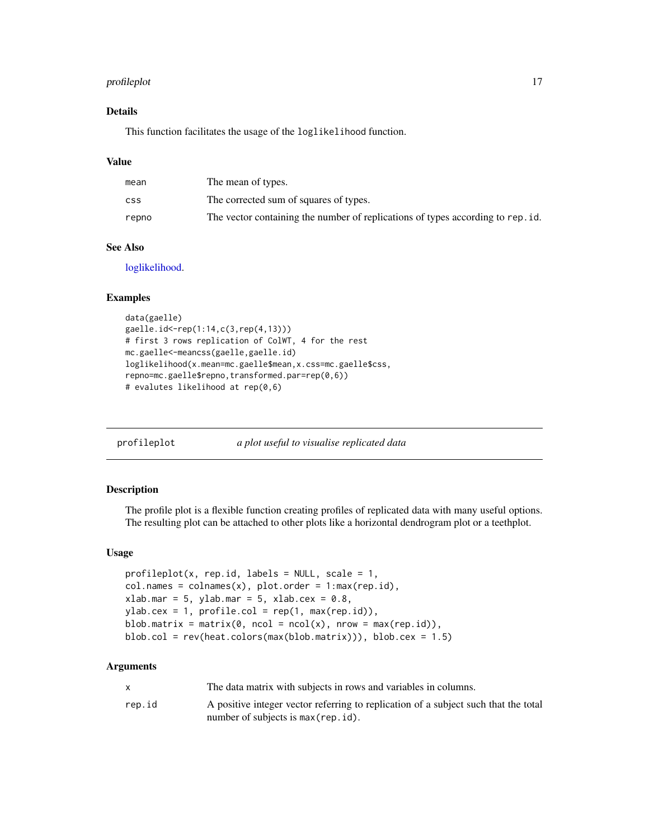# <span id="page-16-0"></span>profileplot 17

# Details

This function facilitates the usage of the loglikelihood function.

#### Value

| mean  | The mean of types.                                                              |
|-------|---------------------------------------------------------------------------------|
| css   | The corrected sum of squares of types.                                          |
| repno | The vector containing the number of replications of types according to rep. id. |

#### See Also

[loglikelihood.](#page-13-1)

# Examples

```
data(gaelle)
gaelle.id<-rep(1:14,c(3,rep(4,13)))
# first 3 rows replication of ColWT, 4 for the rest
mc.gaelle<-meancss(gaelle,gaelle.id)
loglikelihood(x.mean=mc.gaelle$mean,x.css=mc.gaelle$css,
repno=mc.gaelle$repno,transformed.par=rep(0,6))
# evalutes likelihood at rep(0,6)
```
<span id="page-16-1"></span>

| profileplot | a plot useful to visualise replicated data |  |
|-------------|--------------------------------------------|--|
|             |                                            |  |

# Description

The profile plot is a flexible function creating profiles of replicated data with many useful options. The resulting plot can be attached to other plots like a horizontal dendrogram plot or a teethplot.

#### Usage

```
profileplot(x, rep.id, labels = NULL, scale = 1,
col.name = colnames(x), plot-order = 1:max(rep.id),xlab.mar = 5, ylab.mar = 5, xlab.cex = 0.8,
ylab.cex = 1, profile.col = rep(1, max(rep.id)),
blob.matrix = matrix(0, \text{ ncol} = \text{ncol}(x), \text{ nrow} = \text{max}(\text{rep.id})),blob.col = rev(heat.colors(max(blob.matrix))), blob.cex = 1.5)
```

|        | The data matrix with subjects in rows and variables in columns.                     |
|--------|-------------------------------------------------------------------------------------|
| rep.id | A positive integer vector referring to replication of a subject such that the total |
|        | number of subjects is max (rep. id).                                                |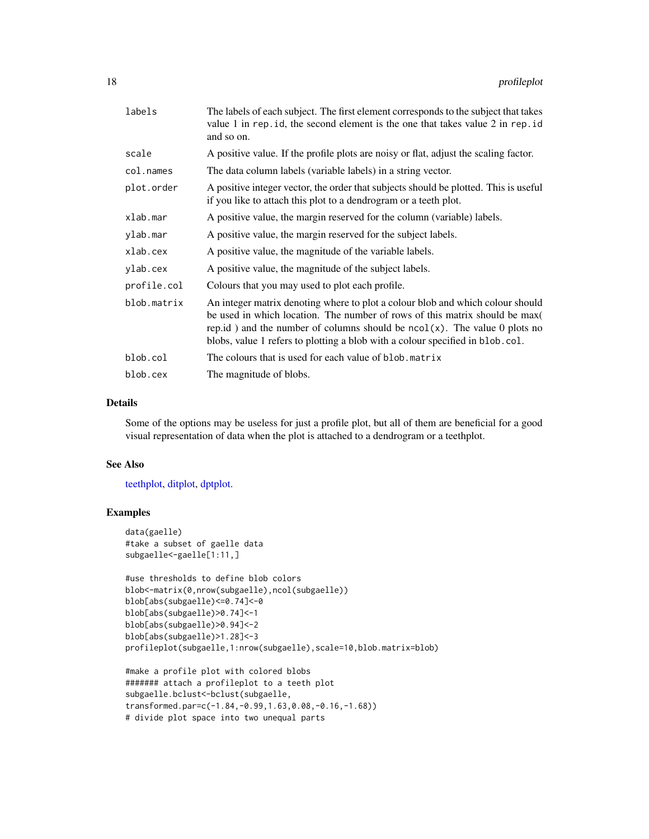<span id="page-17-0"></span>

| labels      | The labels of each subject. The first element corresponds to the subject that takes<br>value 1 in rep. id, the second element is the one that takes value 2 in rep. id<br>and so on.                                                                                                                                           |
|-------------|--------------------------------------------------------------------------------------------------------------------------------------------------------------------------------------------------------------------------------------------------------------------------------------------------------------------------------|
| scale       | A positive value. If the profile plots are noisy or flat, adjust the scaling factor.                                                                                                                                                                                                                                           |
| col.names   | The data column labels (variable labels) in a string vector.                                                                                                                                                                                                                                                                   |
| plot.order  | A positive integer vector, the order that subjects should be plotted. This is useful<br>if you like to attach this plot to a dendrogram or a teeth plot.                                                                                                                                                                       |
| xlab.mar    | A positive value, the margin reserved for the column (variable) labels.                                                                                                                                                                                                                                                        |
| ylab.mar    | A positive value, the margin reserved for the subject labels.                                                                                                                                                                                                                                                                  |
| xlab.cex    | A positive value, the magnitude of the variable labels.                                                                                                                                                                                                                                                                        |
| ylab.cex    | A positive value, the magnitude of the subject labels.                                                                                                                                                                                                                                                                         |
| profile.col | Colours that you may used to plot each profile.                                                                                                                                                                                                                                                                                |
| blob.matrix | An integer matrix denoting where to plot a colour blob and which colour should<br>be used in which location. The number of rows of this matrix should be max(<br>rep.id) and the number of columns should be $ncol(x)$ . The value 0 plots no<br>blobs, value 1 refers to plotting a blob with a colour specified in blob.col. |
| blob.col    | The colours that is used for each value of blob. matrix                                                                                                                                                                                                                                                                        |
| blob.cex    | The magnitude of blobs.                                                                                                                                                                                                                                                                                                        |
|             |                                                                                                                                                                                                                                                                                                                                |

#### Details

Some of the options may be useless for just a profile plot, but all of them are beneficial for a good visual representation of data when the plot is attached to a dendrogram or a teethplot.

#### See Also

[teethplot,](#page-18-1) [ditplot,](#page-7-1) [dptplot.](#page-9-1)

# Examples

```
data(gaelle)
#take a subset of gaelle data
subgaelle<-gaelle[1:11,]
```

```
#use thresholds to define blob colors
blob<-matrix(0,nrow(subgaelle),ncol(subgaelle))
blob[abs(subgaelle)<=0.74]<-0
blob[abs(subgaelle)>0.74]<-1
blob[abs(subgaelle)>0.94]<-2
blob[abs(subgaelle)>1.28]<-3
profileplot(subgaelle,1:nrow(subgaelle),scale=10,blob.matrix=blob)
```

```
#make a profile plot with colored blobs
####### attach a profileplot to a teeth plot
subgaelle.bclust<-bclust(subgaelle,
transformed.par=c(-1.84,-0.99,1.63,0.08,-0.16,-1.68))
# divide plot space into two unequal parts
```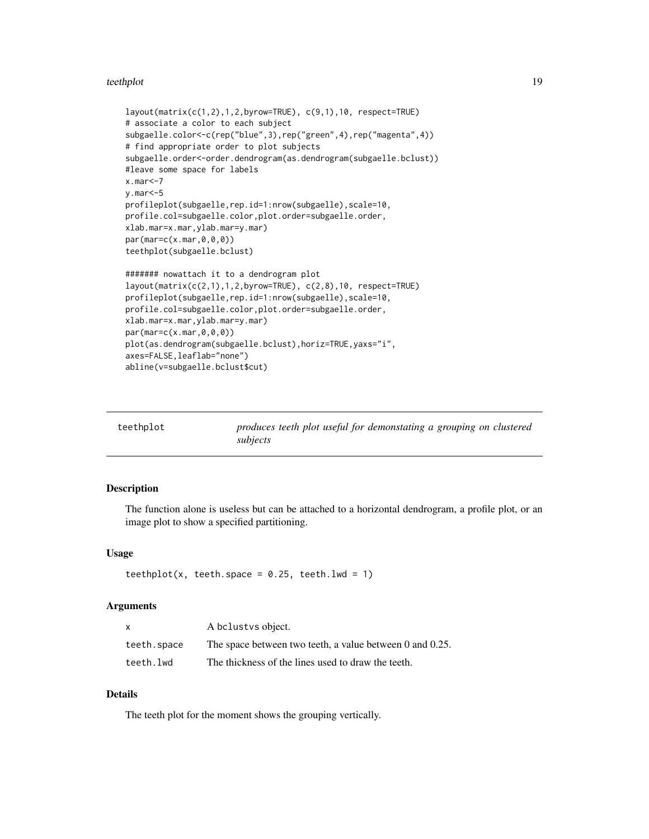#### <span id="page-18-0"></span>teethplot the state of the state of the state of the state of the state of the state of the state of the state of the state of the state of the state of the state of the state of the state of the state of the state of the

```
layout(matrix(c(1,2),1,2,byrow=TRUE), c(9,1),10, respect=TRUE)
# associate a color to each subject
subgaelle.color <- c(rep("blue", 3), rep("green", 4), rep("magenta", 4))
# find appropriate order to plot subjects
subgaelle.order<-order.dendrogram(as.dendrogram(subgaelle.bclust))
#leave some space for labels
x.mar<-7
y.mar<-5
profileplot(subgaelle,rep.id=1:nrow(subgaelle),scale=10,
profile.col=subgaelle.color,plot.order=subgaelle.order,
xlab.mar=x.mar,ylab.mar=y.mar)
par(mar=c(x.mar,0,0,0))
teethplot(subgaelle.bclust)
####### nowattach it to a dendrogram plot
layout(matrix(c(2,1),1,2,byrow=TRUE), c(2,8),10, respect=TRUE)
profileplot(subgaelle,rep.id=1:nrow(subgaelle),scale=10,
profile.col=subgaelle.color,plot.order=subgaelle.order,
xlab.mar=x.mar,ylab.mar=y.mar)
par(mar=c(x.mar,0,0,0))
plot(as.dendrogram(subgaelle.bclust),horiz=TRUE,yaxs="i",
axes=FALSE,leaflab="none")
abline(v=subgaelle.bclust$cut)
```
<span id="page-18-1"></span>

| teethplot | produces teeth plot useful for demonstating a grouping on clustered |
|-----------|---------------------------------------------------------------------|
|           | subjects                                                            |

# Description

The function alone is useless but can be attached to a horizontal dendrogram, a profile plot, or an image plot to show a specified partitioning.

#### Usage

```
teethplot(x, teeth.space = 0.25, teeth.lwd = 1)
```
#### Arguments

| X           | A belustvs object.                                       |
|-------------|----------------------------------------------------------|
| teeth.space | The space between two teeth, a value between 0 and 0.25. |
| teeth.lwd   | The thickness of the lines used to draw the teeth.       |

# Details

The teeth plot for the moment shows the grouping vertically.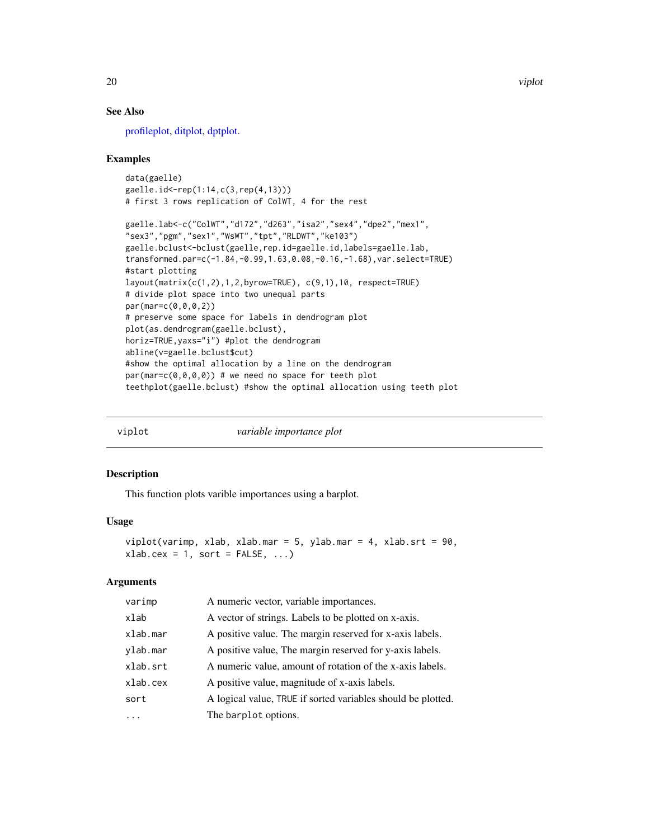# See Also

[profileplot,](#page-16-1) [ditplot,](#page-7-1) [dptplot.](#page-9-1)

## Examples

```
data(gaelle)
gaelle.id<-rep(1:14,c(3,rep(4,13)))
# first 3 rows replication of ColWT, 4 for the rest
gaelle.lab<-c("ColWT","d172","d263","isa2","sex4","dpe2","mex1",
"sex3","pgm","sex1","WsWT","tpt","RLDWT","ke103")
gaelle.bclust<-bclust(gaelle,rep.id=gaelle.id,labels=gaelle.lab,
transformed.par=c(-1.84,-0.99,1.63,0.08,-0.16,-1.68),var.select=TRUE)
#start plotting
layout(matrix(c(1,2),1,2,byrow=TRUE), c(9,1),10, respect=TRUE)
# divide plot space into two unequal parts
par(mar=c(0,0,0,2))
# preserve some space for labels in dendrogram plot
plot(as.dendrogram(gaelle.bclust),
horiz=TRUE,yaxs="i") #plot the dendrogram
abline(v=gaelle.bclust$cut)
#show the optimal allocation by a line on the dendrogram
par(max=c(0,0,0,0)) # we need no space for teeth plot
teethplot(gaelle.bclust) #show the optimal allocation using teeth plot
```
<span id="page-19-1"></span>

| viplot | variable importance plot |
|--------|--------------------------|
|        |                          |

#### Description

This function plots varible importances using a barplot.

#### Usage

```
viplot(varimp, xlab, xlab.max = 5, ylab.max = 4, xlab.srt = 90,xlab.cex = 1, sort = FALSE, ...)
```

| varimp   | A numeric vector, variable importances.                      |
|----------|--------------------------------------------------------------|
| xlab     | A vector of strings. Labels to be plotted on x-axis.         |
| xlab.mar | A positive value. The margin reserved for x-axis labels.     |
| ylab.mar | A positive value, The margin reserved for y-axis labels.     |
| xlab.srt | A numeric value, amount of rotation of the x-axis labels.    |
| xlab.cex | A positive value, magnitude of x-axis labels.                |
| sort     | A logical value, TRUE if sorted variables should be plotted. |
| .        | The barplot options.                                         |

<span id="page-19-0"></span>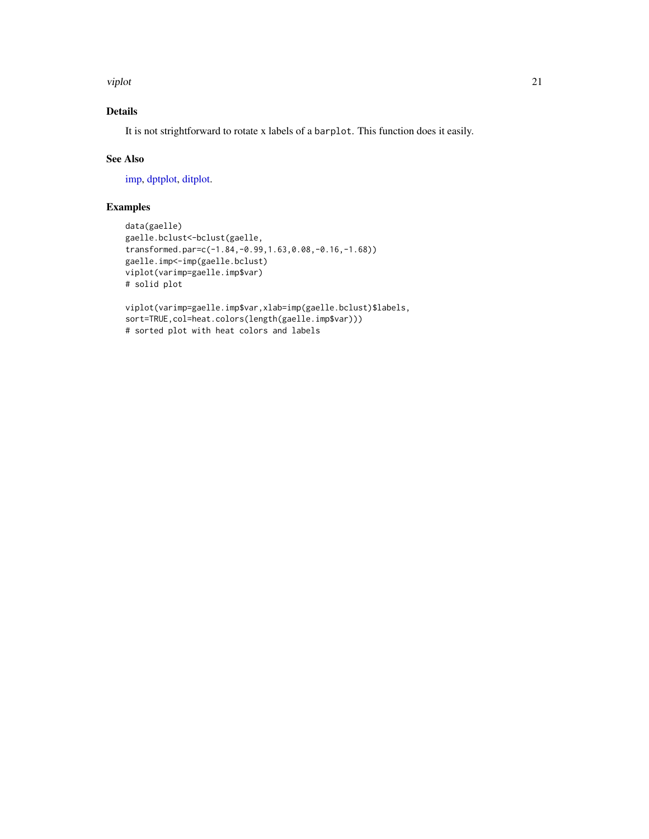<span id="page-20-0"></span>viplot 21

# Details

It is not strightforward to rotate x labels of a barplot. This function does it easily.

# See Also

[imp,](#page-12-1) [dptplot,](#page-9-1) [ditplot.](#page-7-1)

# Examples

```
data(gaelle)
gaelle.bclust<-bclust(gaelle,
transformed.par=c(-1.84,-0.99,1.63,0.08,-0.16,-1.68))
gaelle.imp<-imp(gaelle.bclust)
viplot(varimp=gaelle.imp$var)
# solid plot
viplot(varimp=gaelle.imp$var,xlab=imp(gaelle.bclust)$labels,
sort=TRUE,col=heat.colors(length(gaelle.imp$var)))
# sorted plot with heat colors and labels
```